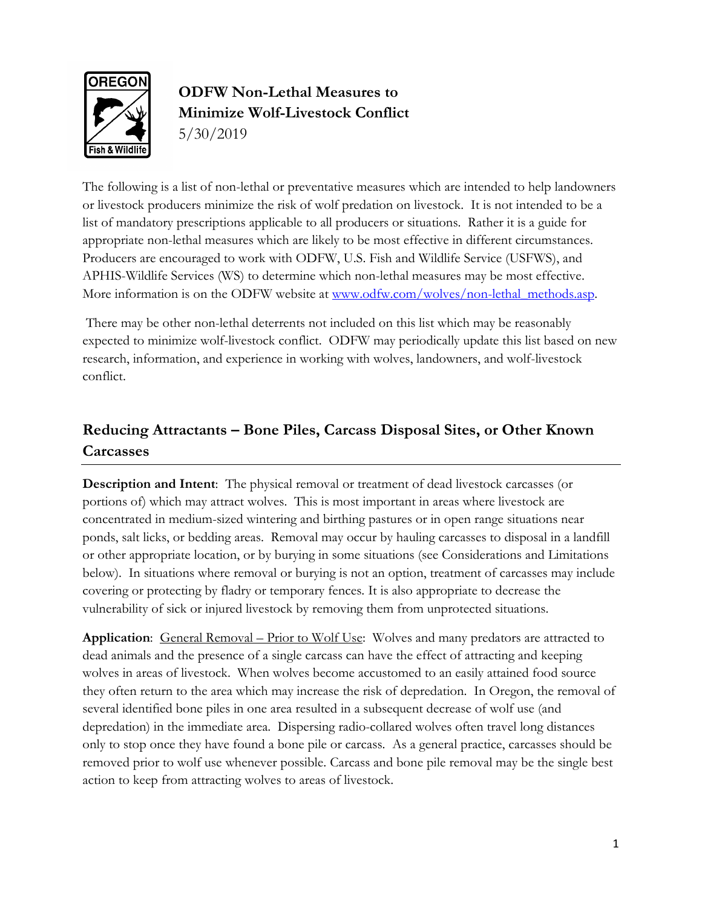

# **ODFW Non-Lethal Measures to Minimize Wolf-Livestock Conflict** 5/30/2019

The following is a list of non-lethal or preventative measures which are intended to help landowners or livestock producers minimize the risk of wolf predation on livestock. It is not intended to be a list of mandatory prescriptions applicable to all producers or situations. Rather it is a guide for appropriate non-lethal measures which are likely to be most effective in different circumstances. Producers are encouraged to work with ODFW, U.S. Fish and Wildlife Service (USFWS), and APHIS-Wildlife Services (WS) to determine which non-lethal measures may be most effective. More information is on the ODFW website at [www.odfw.com/wolves/non-lethal\\_methods.asp.](http://www.odfw.com/wolves/non-lethal_methods.asp)

There may be other non-lethal deterrents not included on this list which may be reasonably expected to minimize wolf-livestock conflict. ODFW may periodically update this list based on new research, information, and experience in working with wolves, landowners, and wolf-livestock conflict.

## **Reducing Attractants – Bone Piles, Carcass Disposal Sites, or Other Known Carcasses**

**Description and Intent**: The physical removal or treatment of dead livestock carcasses (or portions of) which may attract wolves. This is most important in areas where livestock are concentrated in medium-sized wintering and birthing pastures or in open range situations near ponds, salt licks, or bedding areas. Removal may occur by hauling carcasses to disposal in a landfill or other appropriate location, or by burying in some situations (see Considerations and Limitations below). In situations where removal or burying is not an option, treatment of carcasses may include covering or protecting by fladry or temporary fences. It is also appropriate to decrease the vulnerability of sick or injured livestock by removing them from unprotected situations.

**Application**: General Removal – Prior to Wolf Use: Wolves and many predators are attracted to dead animals and the presence of a single carcass can have the effect of attracting and keeping wolves in areas of livestock. When wolves become accustomed to an easily attained food source they often return to the area which may increase the risk of depredation. In Oregon, the removal of several identified bone piles in one area resulted in a subsequent decrease of wolf use (and depredation) in the immediate area. Dispersing radio-collared wolves often travel long distances only to stop once they have found a bone pile or carcass. As a general practice, carcasses should be removed prior to wolf use whenever possible. Carcass and bone pile removal may be the single best action to keep from attracting wolves to areas of livestock.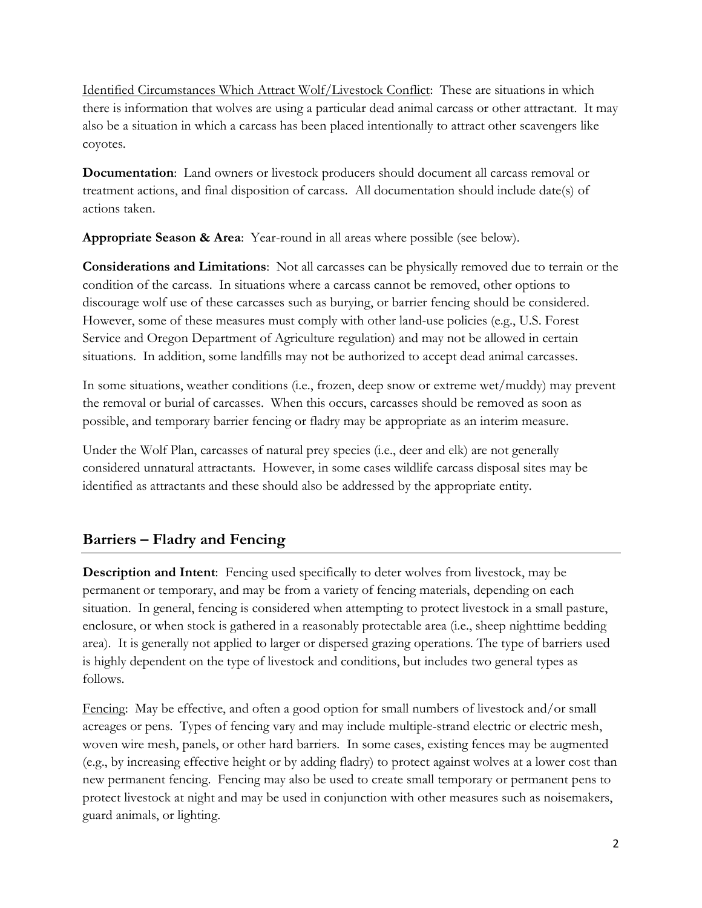Identified Circumstances Which Attract Wolf/Livestock Conflict: These are situations in which there is information that wolves are using a particular dead animal carcass or other attractant. It may also be a situation in which a carcass has been placed intentionally to attract other scavengers like coyotes.

**Documentation**: Land owners or livestock producers should document all carcass removal or treatment actions, and final disposition of carcass. All documentation should include date(s) of actions taken.

**Appropriate Season & Area**: Year-round in all areas where possible (see below).

**Considerations and Limitations**: Not all carcasses can be physically removed due to terrain or the condition of the carcass. In situations where a carcass cannot be removed, other options to discourage wolf use of these carcasses such as burying, or barrier fencing should be considered. However, some of these measures must comply with other land-use policies (e.g., U.S. Forest Service and Oregon Department of Agriculture regulation) and may not be allowed in certain situations. In addition, some landfills may not be authorized to accept dead animal carcasses.

In some situations, weather conditions (i.e., frozen, deep snow or extreme wet/muddy) may prevent the removal or burial of carcasses. When this occurs, carcasses should be removed as soon as possible, and temporary barrier fencing or fladry may be appropriate as an interim measure.

Under the Wolf Plan, carcasses of natural prey species (i.e., deer and elk) are not generally considered unnatural attractants. However, in some cases wildlife carcass disposal sites may be identified as attractants and these should also be addressed by the appropriate entity.

## **Barriers – Fladry and Fencing**

**Description and Intent**: Fencing used specifically to deter wolves from livestock, may be permanent or temporary, and may be from a variety of fencing materials, depending on each situation. In general, fencing is considered when attempting to protect livestock in a small pasture, enclosure, or when stock is gathered in a reasonably protectable area (i.e., sheep nighttime bedding area). It is generally not applied to larger or dispersed grazing operations. The type of barriers used is highly dependent on the type of livestock and conditions, but includes two general types as follows.

Fencing: May be effective, and often a good option for small numbers of livestock and/or small acreages or pens. Types of fencing vary and may include multiple-strand electric or electric mesh, woven wire mesh, panels, or other hard barriers. In some cases, existing fences may be augmented (e.g., by increasing effective height or by adding fladry) to protect against wolves at a lower cost than new permanent fencing. Fencing may also be used to create small temporary or permanent pens to protect livestock at night and may be used in conjunction with other measures such as noisemakers, guard animals, or lighting.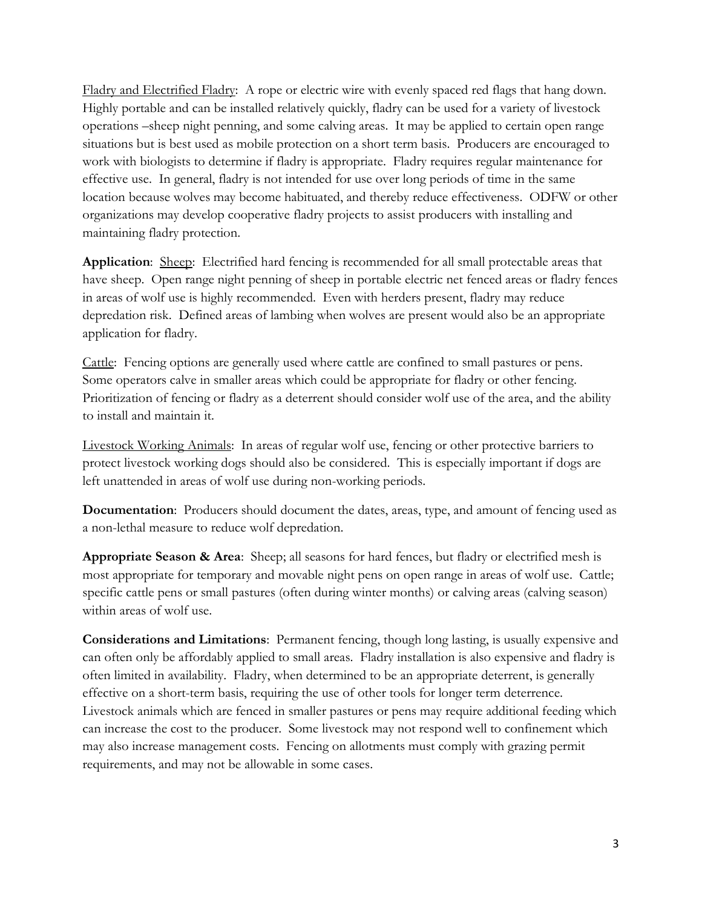Fladry and Electrified Fladry: A rope or electric wire with evenly spaced red flags that hang down. Highly portable and can be installed relatively quickly, fladry can be used for a variety of livestock operations –sheep night penning, and some calving areas. It may be applied to certain open range situations but is best used as mobile protection on a short term basis. Producers are encouraged to work with biologists to determine if fladry is appropriate. Fladry requires regular maintenance for effective use. In general, fladry is not intended for use over long periods of time in the same location because wolves may become habituated, and thereby reduce effectiveness. ODFW or other organizations may develop cooperative fladry projects to assist producers with installing and maintaining fladry protection.

**Application**: Sheep: Electrified hard fencing is recommended for all small protectable areas that have sheep. Open range night penning of sheep in portable electric net fenced areas or fladry fences in areas of wolf use is highly recommended. Even with herders present, fladry may reduce depredation risk. Defined areas of lambing when wolves are present would also be an appropriate application for fladry.

Cattle: Fencing options are generally used where cattle are confined to small pastures or pens. Some operators calve in smaller areas which could be appropriate for fladry or other fencing. Prioritization of fencing or fladry as a deterrent should consider wolf use of the area, and the ability to install and maintain it.

Livestock Working Animals: In areas of regular wolf use, fencing or other protective barriers to protect livestock working dogs should also be considered. This is especially important if dogs are left unattended in areas of wolf use during non-working periods.

**Documentation**: Producers should document the dates, areas, type, and amount of fencing used as a non-lethal measure to reduce wolf depredation.

**Appropriate Season & Area**: Sheep; all seasons for hard fences, but fladry or electrified mesh is most appropriate for temporary and movable night pens on open range in areas of wolf use. Cattle; specific cattle pens or small pastures (often during winter months) or calving areas (calving season) within areas of wolf use.

**Considerations and Limitations**: Permanent fencing, though long lasting, is usually expensive and can often only be affordably applied to small areas. Fladry installation is also expensive and fladry is often limited in availability. Fladry, when determined to be an appropriate deterrent, is generally effective on a short-term basis, requiring the use of other tools for longer term deterrence. Livestock animals which are fenced in smaller pastures or pens may require additional feeding which can increase the cost to the producer. Some livestock may not respond well to confinement which may also increase management costs. Fencing on allotments must comply with grazing permit requirements, and may not be allowable in some cases.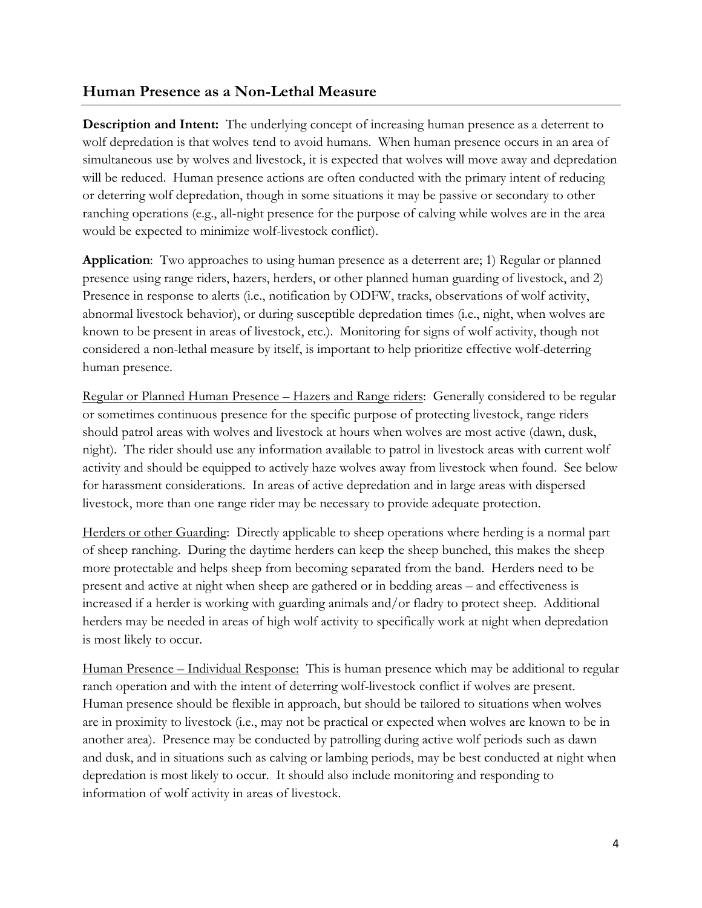#### **Human Presence as a Non-Lethal Measure**

**Description and Intent:** The underlying concept of increasing human presence as a deterrent to wolf depredation is that wolves tend to avoid humans. When human presence occurs in an area of simultaneous use by wolves and livestock, it is expected that wolves will move away and depredation will be reduced. Human presence actions are often conducted with the primary intent of reducing or deterring wolf depredation, though in some situations it may be passive or secondary to other ranching operations (e.g., all-night presence for the purpose of calving while wolves are in the area would be expected to minimize wolf-livestock conflict).

**Application**: Two approaches to using human presence as a deterrent are; 1) Regular or planned presence using range riders, hazers, herders, or other planned human guarding of livestock, and 2) Presence in response to alerts (i.e., notification by ODFW, tracks, observations of wolf activity, abnormal livestock behavior), or during susceptible depredation times (i.e., night, when wolves are known to be present in areas of livestock, etc.). Monitoring for signs of wolf activity, though not considered a non-lethal measure by itself, is important to help prioritize effective wolf-deterring human presence.

Regular or Planned Human Presence – Hazers and Range riders: Generally considered to be regular or sometimes continuous presence for the specific purpose of protecting livestock, range riders should patrol areas with wolves and livestock at hours when wolves are most active (dawn, dusk, night). The rider should use any information available to patrol in livestock areas with current wolf activity and should be equipped to actively haze wolves away from livestock when found. See below for harassment considerations. In areas of active depredation and in large areas with dispersed livestock, more than one range rider may be necessary to provide adequate protection.

Herders or other Guarding: Directly applicable to sheep operations where herding is a normal part of sheep ranching. During the daytime herders can keep the sheep bunched, this makes the sheep more protectable and helps sheep from becoming separated from the band. Herders need to be present and active at night when sheep are gathered or in bedding areas – and effectiveness is increased if a herder is working with guarding animals and/or fladry to protect sheep. Additional herders may be needed in areas of high wolf activity to specifically work at night when depredation is most likely to occur.

Human Presence – Individual Response: This is human presence which may be additional to regular ranch operation and with the intent of deterring wolf-livestock conflict if wolves are present. Human presence should be flexible in approach, but should be tailored to situations when wolves are in proximity to livestock (i.e., may not be practical or expected when wolves are known to be in another area). Presence may be conducted by patrolling during active wolf periods such as dawn and dusk, and in situations such as calving or lambing periods, may be best conducted at night when depredation is most likely to occur. It should also include monitoring and responding to information of wolf activity in areas of livestock.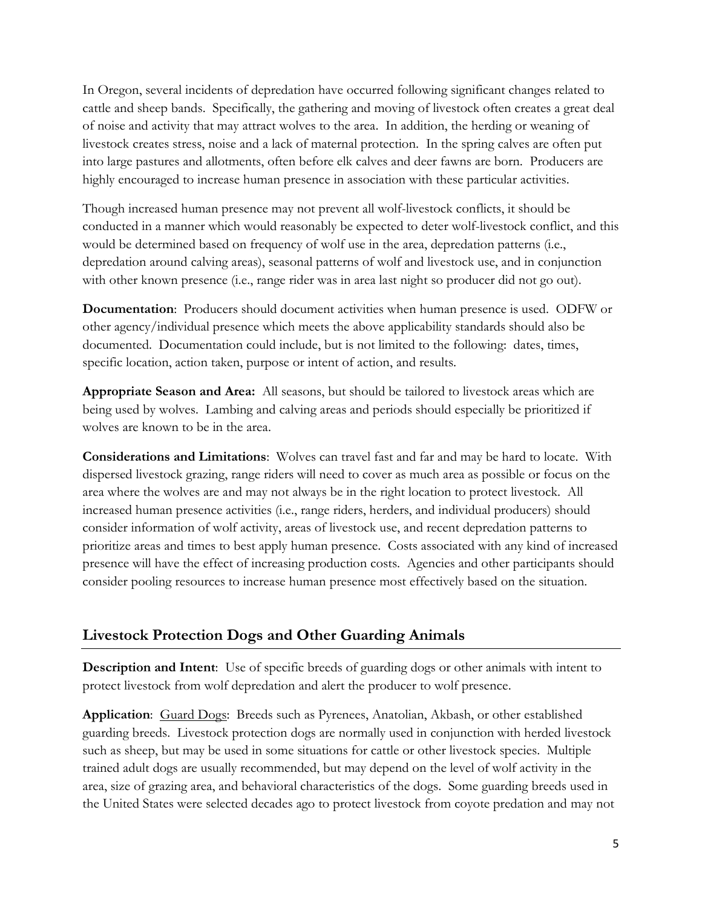In Oregon, several incidents of depredation have occurred following significant changes related to cattle and sheep bands. Specifically, the gathering and moving of livestock often creates a great deal of noise and activity that may attract wolves to the area. In addition, the herding or weaning of livestock creates stress, noise and a lack of maternal protection. In the spring calves are often put into large pastures and allotments, often before elk calves and deer fawns are born. Producers are highly encouraged to increase human presence in association with these particular activities.

Though increased human presence may not prevent all wolf-livestock conflicts, it should be conducted in a manner which would reasonably be expected to deter wolf-livestock conflict, and this would be determined based on frequency of wolf use in the area, depredation patterns (i.e., depredation around calving areas), seasonal patterns of wolf and livestock use, and in conjunction with other known presence (i.e., range rider was in area last night so producer did not go out).

**Documentation**: Producers should document activities when human presence is used. ODFW or other agency/individual presence which meets the above applicability standards should also be documented. Documentation could include, but is not limited to the following: dates, times, specific location, action taken, purpose or intent of action, and results.

**Appropriate Season and Area:** All seasons, but should be tailored to livestock areas which are being used by wolves. Lambing and calving areas and periods should especially be prioritized if wolves are known to be in the area.

**Considerations and Limitations**: Wolves can travel fast and far and may be hard to locate. With dispersed livestock grazing, range riders will need to cover as much area as possible or focus on the area where the wolves are and may not always be in the right location to protect livestock. All increased human presence activities (i.e., range riders, herders, and individual producers) should consider information of wolf activity, areas of livestock use, and recent depredation patterns to prioritize areas and times to best apply human presence. Costs associated with any kind of increased presence will have the effect of increasing production costs. Agencies and other participants should consider pooling resources to increase human presence most effectively based on the situation.

#### **Livestock Protection Dogs and Other Guarding Animals**

**Description and Intent**: Use of specific breeds of guarding dogs or other animals with intent to protect livestock from wolf depredation and alert the producer to wolf presence.

**Application**: Guard Dogs: Breeds such as Pyrenees, Anatolian, Akbash, or other established guarding breeds. Livestock protection dogs are normally used in conjunction with herded livestock such as sheep, but may be used in some situations for cattle or other livestock species. Multiple trained adult dogs are usually recommended, but may depend on the level of wolf activity in the area, size of grazing area, and behavioral characteristics of the dogs. Some guarding breeds used in the United States were selected decades ago to protect livestock from coyote predation and may not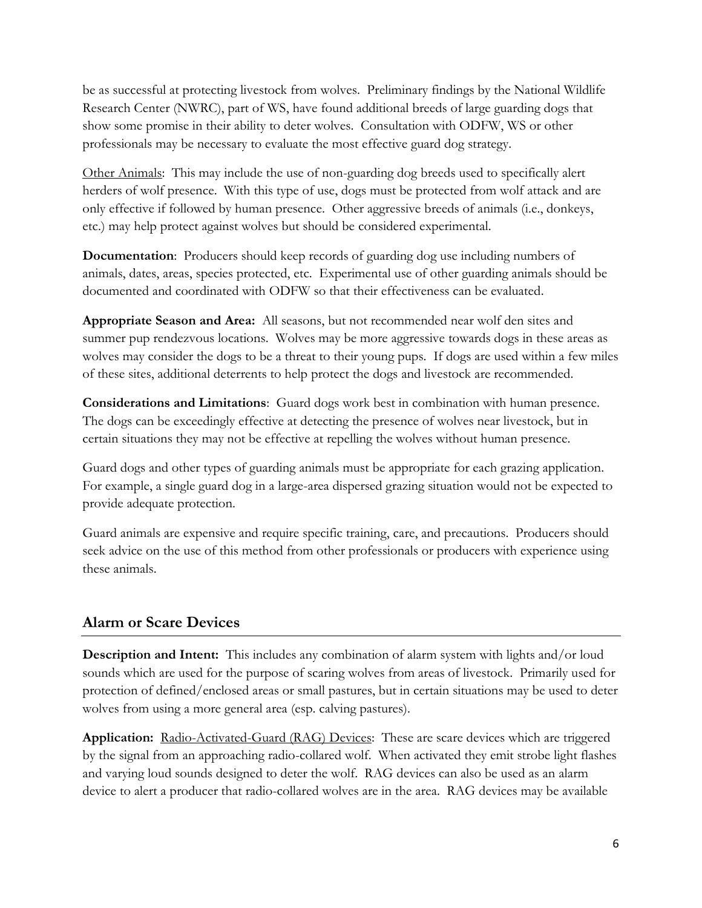be as successful at protecting livestock from wolves. Preliminary findings by the National Wildlife Research Center (NWRC), part of WS, have found additional breeds of large guarding dogs that show some promise in their ability to deter wolves. Consultation with ODFW, WS or other professionals may be necessary to evaluate the most effective guard dog strategy.

Other Animals: This may include the use of non-guarding dog breeds used to specifically alert herders of wolf presence. With this type of use, dogs must be protected from wolf attack and are only effective if followed by human presence. Other aggressive breeds of animals (i.e., donkeys, etc.) may help protect against wolves but should be considered experimental.

**Documentation:** Producers should keep records of guarding dog use including numbers of animals, dates, areas, species protected, etc. Experimental use of other guarding animals should be documented and coordinated with ODFW so that their effectiveness can be evaluated.

**Appropriate Season and Area:** All seasons, but not recommended near wolf den sites and summer pup rendezvous locations. Wolves may be more aggressive towards dogs in these areas as wolves may consider the dogs to be a threat to their young pups. If dogs are used within a few miles of these sites, additional deterrents to help protect the dogs and livestock are recommended.

**Considerations and Limitations**: Guard dogs work best in combination with human presence. The dogs can be exceedingly effective at detecting the presence of wolves near livestock, but in certain situations they may not be effective at repelling the wolves without human presence.

Guard dogs and other types of guarding animals must be appropriate for each grazing application. For example, a single guard dog in a large-area dispersed grazing situation would not be expected to provide adequate protection.

Guard animals are expensive and require specific training, care, and precautions. Producers should seek advice on the use of this method from other professionals or producers with experience using these animals.

## **Alarm or Scare Devices**

**Description and Intent:** This includes any combination of alarm system with lights and/or loud sounds which are used for the purpose of scaring wolves from areas of livestock. Primarily used for protection of defined/enclosed areas or small pastures, but in certain situations may be used to deter wolves from using a more general area (esp. calving pastures).

**Application:** Radio-Activated-Guard (RAG) Devices: These are scare devices which are triggered by the signal from an approaching radio-collared wolf. When activated they emit strobe light flashes and varying loud sounds designed to deter the wolf. RAG devices can also be used as an alarm device to alert a producer that radio-collared wolves are in the area. RAG devices may be available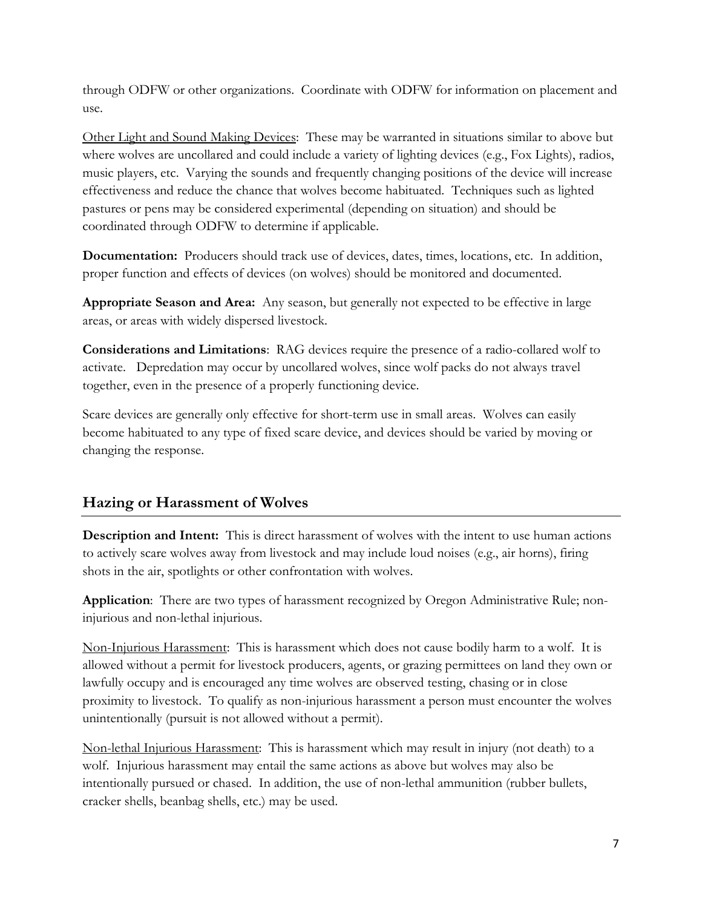through ODFW or other organizations. Coordinate with ODFW for information on placement and use.

Other Light and Sound Making Devices: These may be warranted in situations similar to above but where wolves are uncollared and could include a variety of lighting devices (e.g., Fox Lights), radios, music players, etc. Varying the sounds and frequently changing positions of the device will increase effectiveness and reduce the chance that wolves become habituated. Techniques such as lighted pastures or pens may be considered experimental (depending on situation) and should be coordinated through ODFW to determine if applicable.

**Documentation:** Producers should track use of devices, dates, times, locations, etc. In addition, proper function and effects of devices (on wolves) should be monitored and documented.

**Appropriate Season and Area:** Any season, but generally not expected to be effective in large areas, or areas with widely dispersed livestock.

**Considerations and Limitations**: RAG devices require the presence of a radio-collared wolf to activate. Depredation may occur by uncollared wolves, since wolf packs do not always travel together, even in the presence of a properly functioning device.

Scare devices are generally only effective for short-term use in small areas. Wolves can easily become habituated to any type of fixed scare device, and devices should be varied by moving or changing the response.

## **Hazing or Harassment of Wolves**

**Description and Intent:** This is direct harassment of wolves with the intent to use human actions to actively scare wolves away from livestock and may include loud noises (e.g., air horns), firing shots in the air, spotlights or other confrontation with wolves.

**Application**: There are two types of harassment recognized by Oregon Administrative Rule; noninjurious and non-lethal injurious.

Non-Injurious Harassment: This is harassment which does not cause bodily harm to a wolf. It is allowed without a permit for livestock producers, agents, or grazing permittees on land they own or lawfully occupy and is encouraged any time wolves are observed testing, chasing or in close proximity to livestock. To qualify as non-injurious harassment a person must encounter the wolves unintentionally (pursuit is not allowed without a permit).

Non-lethal Injurious Harassment: This is harassment which may result in injury (not death) to a wolf. Injurious harassment may entail the same actions as above but wolves may also be intentionally pursued or chased. In addition, the use of non-lethal ammunition (rubber bullets, cracker shells, beanbag shells, etc.) may be used.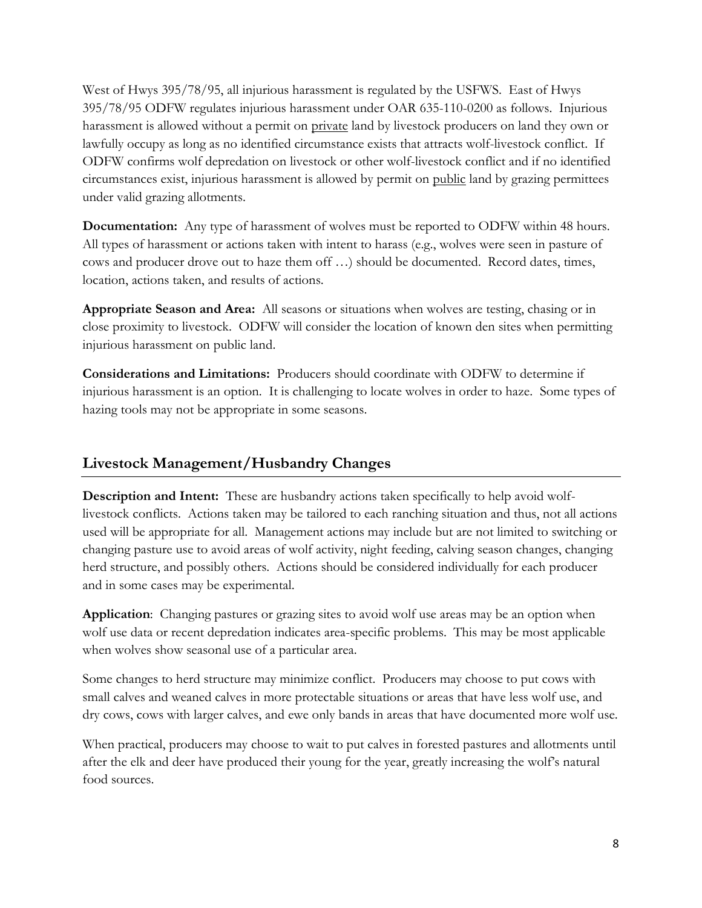West of Hwys 395/78/95, all injurious harassment is regulated by the USFWS. East of Hwys 395/78/95 ODFW regulates injurious harassment under OAR 635-110-0200 as follows. Injurious harassment is allowed without a permit on private land by livestock producers on land they own or lawfully occupy as long as no identified circumstance exists that attracts wolf-livestock conflict. If ODFW confirms wolf depredation on livestock or other wolf-livestock conflict and if no identified circumstances exist, injurious harassment is allowed by permit on public land by grazing permittees under valid grazing allotments.

**Documentation:** Any type of harassment of wolves must be reported to ODFW within 48 hours. All types of harassment or actions taken with intent to harass (e.g., wolves were seen in pasture of cows and producer drove out to haze them off …) should be documented. Record dates, times, location, actions taken, and results of actions.

**Appropriate Season and Area:** All seasons or situations when wolves are testing, chasing or in close proximity to livestock. ODFW will consider the location of known den sites when permitting injurious harassment on public land.

**Considerations and Limitations:** Producers should coordinate with ODFW to determine if injurious harassment is an option. It is challenging to locate wolves in order to haze. Some types of hazing tools may not be appropriate in some seasons.

## **Livestock Management/Husbandry Changes**

**Description and Intent:** These are husbandry actions taken specifically to help avoid wolflivestock conflicts. Actions taken may be tailored to each ranching situation and thus, not all actions used will be appropriate for all. Management actions may include but are not limited to switching or changing pasture use to avoid areas of wolf activity, night feeding, calving season changes, changing herd structure, and possibly others. Actions should be considered individually for each producer and in some cases may be experimental.

**Application**: Changing pastures or grazing sites to avoid wolf use areas may be an option when wolf use data or recent depredation indicates area-specific problems. This may be most applicable when wolves show seasonal use of a particular area.

Some changes to herd structure may minimize conflict. Producers may choose to put cows with small calves and weaned calves in more protectable situations or areas that have less wolf use, and dry cows, cows with larger calves, and ewe only bands in areas that have documented more wolf use.

When practical, producers may choose to wait to put calves in forested pastures and allotments until after the elk and deer have produced their young for the year, greatly increasing the wolf's natural food sources.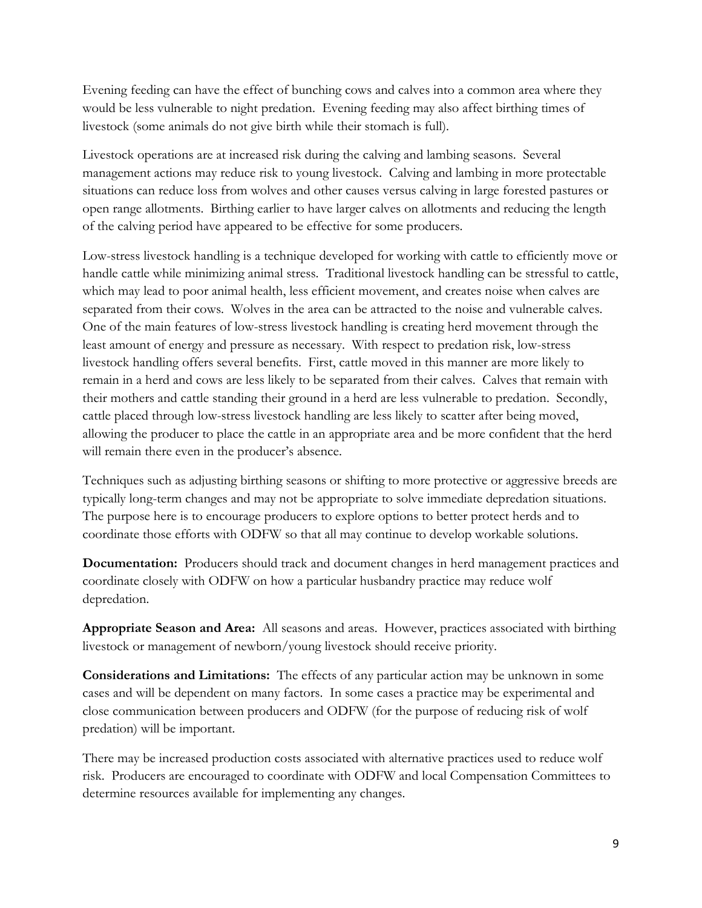Evening feeding can have the effect of bunching cows and calves into a common area where they would be less vulnerable to night predation. Evening feeding may also affect birthing times of livestock (some animals do not give birth while their stomach is full).

Livestock operations are at increased risk during the calving and lambing seasons. Several management actions may reduce risk to young livestock. Calving and lambing in more protectable situations can reduce loss from wolves and other causes versus calving in large forested pastures or open range allotments. Birthing earlier to have larger calves on allotments and reducing the length of the calving period have appeared to be effective for some producers.

Low-stress livestock handling is a technique developed for working with cattle to efficiently move or handle cattle while minimizing animal stress. Traditional livestock handling can be stressful to cattle, which may lead to poor animal health, less efficient movement, and creates noise when calves are separated from their cows. Wolves in the area can be attracted to the noise and vulnerable calves. One of the main features of low-stress livestock handling is creating herd movement through the least amount of energy and pressure as necessary. With respect to predation risk, low-stress livestock handling offers several benefits. First, cattle moved in this manner are more likely to remain in a herd and cows are less likely to be separated from their calves. Calves that remain with their mothers and cattle standing their ground in a herd are less vulnerable to predation. Secondly, cattle placed through low-stress livestock handling are less likely to scatter after being moved, allowing the producer to place the cattle in an appropriate area and be more confident that the herd will remain there even in the producer's absence.

Techniques such as adjusting birthing seasons or shifting to more protective or aggressive breeds are typically long-term changes and may not be appropriate to solve immediate depredation situations. The purpose here is to encourage producers to explore options to better protect herds and to coordinate those efforts with ODFW so that all may continue to develop workable solutions.

**Documentation:** Producers should track and document changes in herd management practices and coordinate closely with ODFW on how a particular husbandry practice may reduce wolf depredation.

**Appropriate Season and Area:** All seasons and areas. However, practices associated with birthing livestock or management of newborn/young livestock should receive priority.

**Considerations and Limitations:** The effects of any particular action may be unknown in some cases and will be dependent on many factors. In some cases a practice may be experimental and close communication between producers and ODFW (for the purpose of reducing risk of wolf predation) will be important.

There may be increased production costs associated with alternative practices used to reduce wolf risk. Producers are encouraged to coordinate with ODFW and local Compensation Committees to determine resources available for implementing any changes.